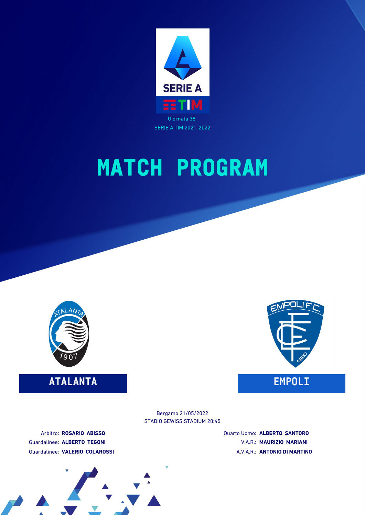



**ATALANTA EMPOLI**



STADIO GEWISS STADIUM 20:45 Bergamo 21/05/2022

Arbitro: **ROSARIO ABISSO** Guardalinee: **ALBERTO TEGONI** Guardalinee: **VALERIO COLAROSSI** Quarto Uomo: **ALBERTO SANTORO** V.A.R.: **MAURIZIO MARIANI** A.V.A.R.: **ANTONIO DI MARTINO**

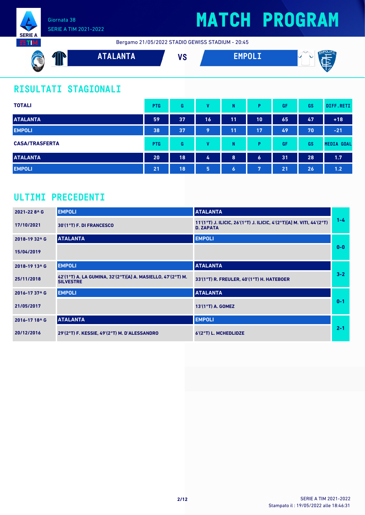

# **MATCH PROGRAM**

Bergamo 21/05/2022 STADIO GEWISS STADIUM - 20:45



### **RISULTATI STAGIONALI**

| <b>TOTALI</b>         | <b>PTG</b> | G  | v  | N         | P.               | GF | <b>GS</b> | DIFF.RETI         |
|-----------------------|------------|----|----|-----------|------------------|----|-----------|-------------------|
| <b>ATALANTA</b>       | 59         | 37 | 16 | 11        | 10               | 65 | 47        | $+18$             |
| <b>EMPOLI</b>         | 38         | 37 | 9  | 11        | 17               | 49 | 70        | $-21$             |
| <b>CASA/TRASFERTA</b> | <b>PTG</b> | G  | v  | N         | Þ                | GF | <b>GS</b> | <b>MEDIA GOAL</b> |
| <b>ATALANTA</b>       | 20         | 18 | 4  | 8         | $\boldsymbol{6}$ | 31 | 28        | 1.7               |
| <b>EMPOLI</b>         | 21         | 18 | 5  | $\bullet$ | 7                | 21 | 26        | 1.2               |

### **ULTIMI PRECEDENTI**

| 2021-22 8^ G  | <b>EMPOLI</b>                                                                   | <b>ATALANTA</b>                                                                          |         |
|---------------|---------------------------------------------------------------------------------|------------------------------------------------------------------------------------------|---------|
| 17/10/2021    | 30'(1°T) F. DI FRANCESCO                                                        | 11'(1°T) J. ILICIC, 26'(1°T) J. ILICIC, 4'(2°T)[A] M. VITI, 44'(2°T)<br><b>D. ZAPATA</b> | $1 - 4$ |
| 2018-19 32^ G | <b>ATALANTA</b>                                                                 | <b>EMPOLI</b>                                                                            |         |
| 15/04/2019    |                                                                                 |                                                                                          | $0 - 0$ |
| 2018-19 13^6  | <b>EMPOLI</b>                                                                   | <b>ATALANTA</b>                                                                          |         |
| 25/11/2018    | 42'(1°T) A. LA GUMINA, 32'(2°T)[A] A. MASIELLO, 47'(2°T) M.<br><b>SILVESTRE</b> | 33'(1°T) R. FREULER, 40'(1°T) H. HATEBOER                                                | $3-2$   |
| 2016-1737^G   | <b>EMPOLI</b>                                                                   | <b>ATALANTA</b>                                                                          |         |
| 21/05/2017    |                                                                                 | 13'(1°T) A. GOMEZ                                                                        | $0 - 1$ |
| 2016-17 18^ G | <b>ATALANTA</b>                                                                 | <b>EMPOLI</b>                                                                            |         |
| 20/12/2016    | 29'(2°T) F. KESSIE, 49'(2°T) M. D'ALESSANDRO                                    | 6'(2°T) L. MCHEDLIDZE                                                                    | $2 - 1$ |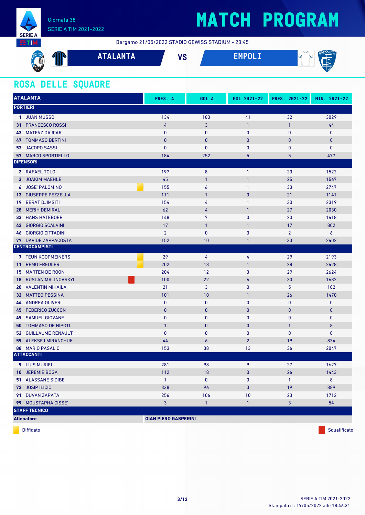

Bergamo 21/05/2022 STADIO GEWISS STADIUM - 20:45

| S.<br>للتالية | <b>ATALANTA</b> | VC<br>V J | FMBAL T | $\checkmark$<br><b>CM</b><br>M.<br>ъ. |
|---------------|-----------------|-----------|---------|---------------------------------------|
| 1907          |                 |           |         |                                       |

### **ROSA DELLE SQUADRE**

| <b>ATALANTA</b>                             | PRES. A                     | GOL A        | GOL 2021-22    | PRES. 2021-22  | MIN. 2021-22 |
|---------------------------------------------|-----------------------------|--------------|----------------|----------------|--------------|
| <b>PORTIERI</b>                             |                             |              |                |                |              |
| 1 JUAN MUSSO                                | 134                         | 183          | 41             | 32             | 3029         |
| 31 FRANCESCO ROSSI                          | 4                           | 3            | $\mathbf{1}$   | $\mathbf{1}$   | 44           |
| <b>MATEVZ DAJCAR</b><br>43                  | 0                           | $\bf{0}$     | 0              | 0              | $\mathbf 0$  |
| <b>TOMMASO BERTINI</b><br>47                | $\mathbf 0$                 | $\bf{0}$     | $\mathbf{0}$   | 0              | $\bf{0}$     |
| 53 JACOPO SASSI                             | $\mathbf{0}$                | $\pmb{0}$    | 0              | 0              | $\mathbf 0$  |
| <b>57 MARCO SPORTIELLO</b>                  | 184                         | 252          | 5              | 5              | 477          |
| <b>DIFENSORI</b>                            |                             |              |                |                |              |
| 2 RAFAEL TOLOI                              | 197                         | 8            | $\mathbf{1}$   | 20             | 1522         |
| 3 JOAKIM MAEHLE                             | 45                          | $\mathbf{1}$ | $\mathbf{1}$   | 25             | 1567         |
| 6 JOSE' PALOMINO                            | 155                         | 6            | $\mathbf{1}$   | 33             | 2747         |
| <b>GIUSEPPE PEZZELLA</b><br>13 <sup>°</sup> | 111                         | $\mathbf{1}$ | 0              | 21             | 1141         |
| <b>BERAT DJIMSITI</b><br>19                 | 154                         | 4            | 1              | 30             | 2319         |
| <b>MERIH DEMIRAL</b><br>28                  | 62                          | 4            | 1              | 27             | 2030         |
| <b>HANS HATEBOER</b><br>33                  | 148                         | 7            | 0              | 20             | 1418         |
| 42 GIORGIO SCALVINI                         | 17                          | $\mathbf{1}$ | 1              | 17             | 802          |
| <b>46 GIORGIO CITTADINI</b>                 | $\overline{2}$              | 0            | 0              | $\overline{2}$ | 6            |
| <b>77 DAVIDE ZAPPACOSTA</b>                 | 152                         | 10           | $\mathbf{1}$   | 33             | 2402         |
| <b>CENTROCAMPISTI</b>                       |                             |              |                |                |              |
| 7 TEUN KOOPMEINERS                          | 29                          | 4            | 4              | 29             | 2193         |
| <b>REMO FREULER</b><br>11                   | 202                         | 18           | $\mathbf{1}$   | 28             | 2428         |
| <b>MARTEN DE ROON</b><br>15                 | 204                         | 12           | 3              | 29             | 2624         |
| RUSLAN MALINOVSKYI<br>18                    | 100                         | 22           | 6              | 30             | 1682         |
| <b>VALENTIN MIHAILA</b><br>20               | 21                          | 3            | 0              | 5              | 102          |
| 32 MATTEO PESSINA                           | 101                         | 10           | $\mathbf{1}$   | 26             | 1470         |
| 44 ANDREA OLIVERI                           | 0                           | $\bf{0}$     | 0              | 0              | 0            |
| 45<br><b>FEDERICO ZUCCON</b>                | $\bf{0}$                    | $\mathbf{0}$ | $\mathbf 0$    | 0              | $\bf{0}$     |
| <b>SAMUEL GIOVANE</b><br>49                 | 0                           | 0            | 0              | 0              | $\bf{0}$     |
| <b>TOMMASO DE NIPOTI</b><br>50              | $\mathbf{1}$                | $\mathbf{0}$ | $\mathbf{0}$   | $\mathbf{1}$   | 8            |
| <b>52 GUILLAUME RENAULT</b>                 | 0                           | 0            | 0              | 0              | $\bf{0}$     |
| <b>59 ALEKSEJ MIRANCHUK</b>                 | 44                          | 6            | $\overline{2}$ | 19             | 834          |
| <b>88 MARIO PASALIC</b>                     | 153                         | 38           | 13             | 36             | 2047         |
| <b>ATTACCANTI</b>                           |                             |              |                |                |              |
| 9 LUIS MURIEL                               | 281                         | 98           | 9              | 27             | 1627         |
| <b>10 JEREMIE BOGA</b>                      | 112                         | 18           | 0              | 26             | 1443         |
| <b>51 ALASSANE SIDIBE</b>                   | $\mathbf{1}$                | $\pmb{0}$    | 0              | $\mathbf{1}$   | 8            |
| 72 JOSIP ILICIC                             | 338                         | 96           | 3              | 19             | 889          |
| 91 DUVAN ZAPATA                             | 256                         | 106          | 10             | 23             | 1712         |
| <b>99 MOUSTAPHA CISSE'</b>                  | 3                           | $\mathbf{1}$ | $\mathbf{1}$   | 3              | 54           |
| <b>STAFF TECNICO</b>                        |                             |              |                |                |              |
| <b>Allenatore</b>                           | <b>GIAN PIERO GASPERINI</b> |              |                |                |              |

diffidato de la contradicción de la contradicción de la contradicción de la contradicción de la contradicción de Squalificato de la contradicción de la contradicción de la contradicción de la contradicción de la contradicc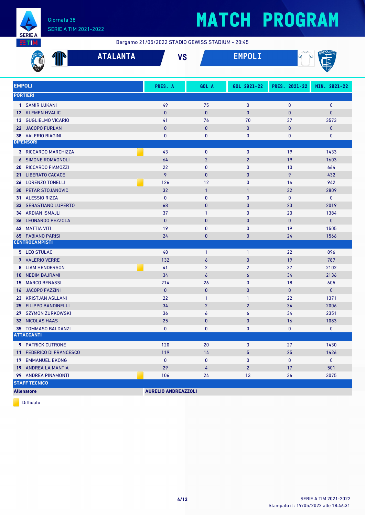

Bergamo 21/05/2022 STADIO GEWISS STADIUM - 20:45

|     |                             | <b>ATALANTA</b> | <b>VS</b>                  |                  | <b>EMPOLI</b>  |               |              |  |
|-----|-----------------------------|-----------------|----------------------------|------------------|----------------|---------------|--------------|--|
|     |                             |                 |                            |                  |                |               |              |  |
|     | <b>EMPOLI</b>               |                 | PRES. A                    | GOL A            | GOL 2021-22    | PRES. 2021-22 | MIN. 2021-22 |  |
|     | <b>PORTIERI</b>             |                 |                            |                  |                |               |              |  |
|     | 1 SAMIR UJKANI              |                 | 49                         | 75               | 0              | $\mathbf{0}$  | $\mathbf 0$  |  |
|     | <b>12 KLEMEN HVALIC</b>     |                 | $\mathbf{0}$               | $\mathbf{0}$     | 0              | $\mathbf{0}$  | $\mathbf{0}$ |  |
|     | 13 GUGLIELMO VICARIO        |                 | 41                         | 76               | 70             | 37            | 3573         |  |
|     | 22 JACOPO FURLAN            |                 | $\mathbf{0}$               | $\mathbf{0}$     | $\bf{0}$       | $\mathbf{0}$  | $\pmb{0}$    |  |
|     | <b>38 VALERIO BIAGINI</b>   |                 | 0                          | 0                | 0              | 0             | $\mathbf 0$  |  |
|     | <b>DIFENSORI</b>            |                 |                            |                  |                |               |              |  |
|     | <b>3 RICCARDO MARCHIZZA</b> |                 | 43                         | $\mathbf 0$      | 0              | 19            | 1433         |  |
|     | <b>6 SIMONE ROMAGNOLI</b>   |                 | 64                         | $\overline{2}$   | $\overline{2}$ | 19            | 1603         |  |
| 20  | RICCARDO FIAMOZZI           |                 | 22                         | $\mathbf 0$      | 0              | 10            | 664          |  |
| 21  | <b>LIBERATO CACACE</b>      |                 | 9                          | $\bf{0}$         | 0              | 9             | 432          |  |
| 26  | <b>LORENZO TONELLI</b>      |                 | 126                        | 12               | 0              | 14            | 942          |  |
| 30  | PETAR STOJANOVIC            |                 | 32                         | $\mathbf{1}$     | $\mathbf{1}$   | 32            | 2809         |  |
| 31. | <b>ALESSIO RIZZA</b>        |                 | $\mathbf{0}$               | $\mathbf 0$      | 0              | $\bf{0}$      | $\pmb{0}$    |  |
| 33  | <b>SEBASTIANO LUPERTO</b>   |                 | 68                         | $\bf{0}$         | 0              | 23            | 2019         |  |
|     | <b>34 ARDIAN ISMAJLI</b>    |                 | 37                         | $\mathbf{1}$     | 0              | 20            | 1384         |  |
|     | 36 LEONARDO PEZZOLA         |                 | $\mathbf{0}$               | $\mathbf{0}$     | $\bf{0}$       | $\mathbf{0}$  | $\pmb{0}$    |  |
|     | <b>42 MATTIA VITI</b>       |                 | 19                         | 0                | 0              | 19            | 1505         |  |
|     | <b>65 FABIANO PARISI</b>    |                 | 24                         | $\bf{0}$         | 0              | 24            | 1566         |  |
|     | <b>CENTROCAMPISTI</b>       |                 |                            |                  |                |               |              |  |
|     | 5 LEO STULAC                |                 | 48                         | $\mathbf{1}$     | $\mathbf{1}$   | 22            | 896          |  |
|     | 7 VALERIO VERRE             |                 | 132                        | $\boldsymbol{6}$ | $\pmb{0}$      | 19            | 787          |  |
| 8   | <b>LIAM HENDERSON</b>       |                 | 41                         | $\overline{2}$   | $\overline{2}$ | 37            | 2102         |  |
| 10  | <b>NEDIM BAJRAMI</b>        |                 | 34                         | $\overline{6}$   | 6              | 34            | 2136         |  |
| 15  | <b>MARCO BENASSI</b>        |                 | 214                        | 26               | 0              | 18            | 605          |  |
| 16  | <b>JACOPO FAZZINI</b>       |                 | $\mathbf{0}$               | $\mathbf{0}$     | $\bf{0}$       | $\mathbf{0}$  | $\mathbf{0}$ |  |
| 23  | <b>KRISTJAN ASLLANI</b>     |                 | 22                         | 1                | 1              | 22            | 1371         |  |
| 25  | <b>FILIPPO BANDINELLI</b>   |                 | 34                         | $\overline{2}$   | $\overline{2}$ | 34            | 2006         |  |
| 27  | <b>SZYMON ZURKOWSKI</b>     |                 | 36                         | 6                | 6              | 34            | 2351         |  |
|     | 32 NICOLAS HAAS             |                 | 25                         | 0                | 0              | 16            | 1083         |  |
|     | 35 TOMMASO BALDANZI         |                 | $\mathbf 0$                | 0                | 0              | 0             | 0            |  |
|     | <b>ATTACCANTI</b>           |                 |                            |                  |                |               |              |  |
|     | <b>9</b> PATRICK CUTRONE    |                 | 120                        | 20               | 3              | 27            | 1430         |  |
|     | 11 FEDERICO DI FRANCESCO    |                 | 119                        | 14               | 5              | 25            | 1426         |  |
|     | <b>17 EMMANUEL EKONG</b>    |                 | $\bf{0}$                   | 0                | 0              | 0             | 0            |  |
|     | 19 ANDREA LA MANTIA         |                 | 29                         | 4                | $\overline{2}$ | 17            | 501          |  |
|     | 99 ANDREA PINAMONTI         |                 | 106                        | 24               | 13             | 36            | 3075         |  |
|     | <b>STAFF TECNICO</b>        |                 |                            |                  |                |               |              |  |
|     | <b>Allenatore</b>           |                 | <b>AURELIO ANDREAZZOLI</b> |                  |                |               |              |  |

Diffidato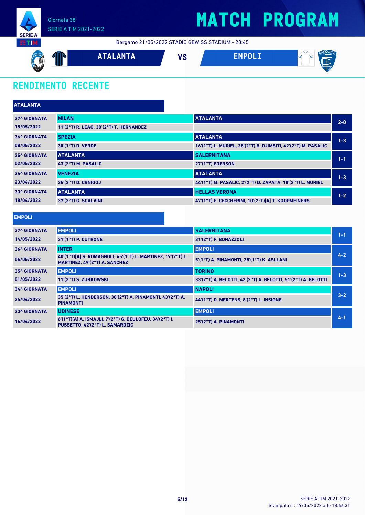

Bergamo 21/05/2022 STADIO GEWISS STADIUM - 20:45



### **RENDIMENTO RECENTE**

| <b>ATALANTA</b>     |                                         |                                                               |         |
|---------------------|-----------------------------------------|---------------------------------------------------------------|---------|
| <b>37^ GIORNATA</b> | <b>MILAN</b>                            | <b>ATALANTA</b>                                               | $2 - 0$ |
| 15/05/2022          | 11'(2°T) R. LEAO, 30'(2°T) T. HERNANDEZ |                                                               |         |
| <b>36^ GIORNATA</b> | <b>SPEZIA</b>                           | <b>ATALANTA</b>                                               | $1 - 3$ |
| 08/05/2022          | 30'(1°T) D. VERDE                       | 16'(1°T) L. MURIEL, 28'(2°T) B. DJIMSITI, 42'(2°T) M. PASALIC |         |
| <b>35^ GIORNATA</b> | <b>ATALANTA</b>                         | <b>SALERNITANA</b>                                            | $1 - 1$ |
| 02/05/2022          | 43'(2°T) M. PASALIC                     | 27'(1°T) EDERSON                                              |         |
| <b>34^ GIORNATA</b> | <b>VENEZIA</b>                          | <b>ATALANTA</b>                                               | $1 - 3$ |
| 23/04/2022          | 35'(2°T) D. CRNIGOJ                     | 44'(1°T) M. PASALIC, 2'(2°T) D. ZAPATA, 18'(2°T) L. MURIEL    |         |
| <b>33^ GIORNATA</b> | <b>ATALANTA</b>                         | <b>HELLAS VERONA</b>                                          | $1 - 2$ |
| 18/04/2022          | 37'(2°T) G. SCALVINI                    | 47'(1°T) F. CECCHERINI, 10'(2°T)[A] T. KOOPMEINERS            |         |
|                     |                                         |                                                               |         |

#### **EMPOLI**

| <b>37^ GIORNATA</b> | <b>EMPOLI</b>                                                                                | <b>SALERNITANA</b>                                            | $1 - 1$ |
|---------------------|----------------------------------------------------------------------------------------------|---------------------------------------------------------------|---------|
| 14/05/2022          | 31'(1°T) P. CUTRONE                                                                          | 31'(2°T) F. BONAZZOLI                                         |         |
| <b>36^ GIORNATA</b> | <b>INTER</b>                                                                                 | <b>EMPOLI</b>                                                 |         |
| 06/05/2022          | 40'(1°T)[A] S. ROMAGNOLI, 45'(1°T) L. MARTINEZ, 19'(2°T) L.<br>MARTINEZ, 49'(2°T) A. SANCHEZ | 5'(1°T) A. PINAMONTI, 28'(1°T) K. ASLLANI                     | $4 - 2$ |
| <b>35^ GIORNATA</b> | <b>EMPOLI</b>                                                                                | <b>TORINO</b>                                                 | $1 - 3$ |
| 01/05/2022          | 11'(2°T) S. ZURKOWSKI                                                                        | 33'(2°T) A. BELOTTI, 42'(2°T) A. BELOTTI, 51'(2°T) A. BELOTTI |         |
| <b>34^ GIORNATA</b> | <b>EMPOLI</b>                                                                                | <b>NAPOLI</b>                                                 |         |
| 24/04/2022          | 35'(2°T) L. HENDERSON, 38'(2°T) A. PINAMONTI, 43'(2°T) A.<br><b>PINAMONTI</b>                | 44'(1°T) D. MERTENS, 8'(2°T) L. INSIGNE                       | $3 - 2$ |
| <b>33^ GIORNATA</b> | <b>UDINESE</b>                                                                               | <b>EMPOLI</b>                                                 |         |
| 16/04/2022          | 6'(1°T)[A] A. ISMAJLI, 7'(2°T) G. DEULOFEU, 34'(2°T) I.<br>PUSSETTO, 42'(2°T) L. SAMARDZIC   | 25'(2°T) A. PINAMONTI                                         | $4 - 1$ |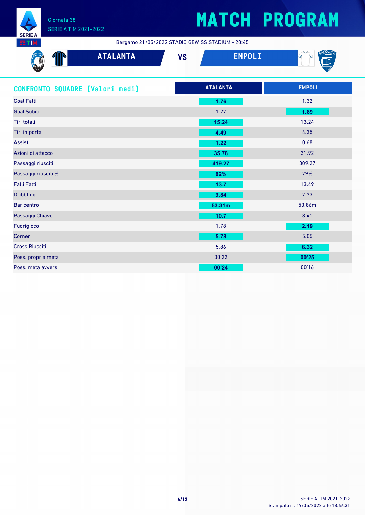

Bergamo 21/05/2022 STADIO GEWISS STADIUM - 20:45

| V    | A MISS A<br><b>AIALANIA</b> | $\mathbf{u}$<br>ט ו | --<br>$\sim$ $ -$<br>--- | $\sim$<br>⊫ |
|------|-----------------------------|---------------------|--------------------------|-------------|
| 1907 |                             |                     |                          |             |

| CONFRONTO SQUADRE [Valori medi] | <b>ATALANTA</b> | <b>EMPOLI</b> |
|---------------------------------|-----------------|---------------|
| <b>Goal Fatti</b>               | 1.76            | 1.32          |
| <b>Goal Subiti</b>              | 1.27            | 1.89          |
| Tiri totali                     | 15.24           | 13.24         |
| Tiri in porta                   | 4.49            | 4.35          |
| Assist                          | 1.22            | 0.68          |
| Azioni di attacco               | 35.78           | 31.92         |
| Passaggi riusciti               | 419.27          | 309.27        |
| Passaggi riusciti %             | 82%             | 79%           |
| <b>Falli Fatti</b>              | 13.7            | 13.49         |
| <b>Dribbling</b>                | 9.84            | 7.73          |
| <b>Baricentro</b>               | 53.31m          | 50.86m        |
| Passaggi Chiave                 | 10.7            | 8.41          |
| Fuorigioco                      | 1.78            | 2.19          |
| Corner                          | 5.78            | 5.05          |
| <b>Cross Riusciti</b>           | 5.86            | 6.32          |
| Poss. propria meta              | 00'22           | 00'25         |
| Poss. meta avvers               | 00'24           | 00'16         |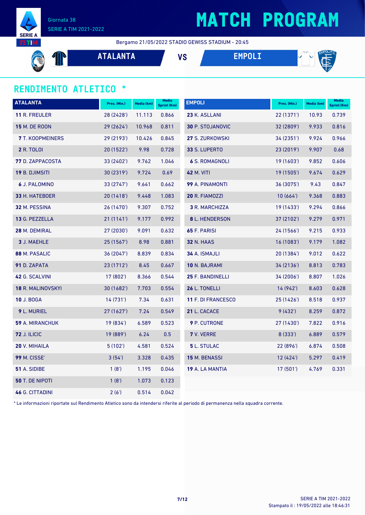

## **MATCH PROGRAM**

Bergamo 21/05/2022 STADIO GEWISS STADIUM - 20:45

**ATALANTA VS EMPOLI**

### **RENDIMENTO ATLETICO \***

| <b>ATALANTA</b>         | Pres. (Min.) | Media (km) | <b>Media</b><br><b>Sprint (Km)</b> | <b>EMPOLI</b>           | Pres. (Min.) | Media (km) | <b>Media</b><br><b>Sprint (Km)</b> |
|-------------------------|--------------|------------|------------------------------------|-------------------------|--------------|------------|------------------------------------|
| <b>11 R. FREULER</b>    | 28 (2428')   | 11.113     | 0.866                              | 23 K. ASLLANI           | 22 (1371')   | 10.93      | 0.739                              |
| <b>15 M. DE ROON</b>    | 29 (2624')   | 10.968     | 0.811                              | <b>30 P. STOJANOVIC</b> | 32 (2809')   | 9.933      | 0.816                              |
| <b>7</b> T. KOOPMEINERS | 29 (2193')   | 10.426     | 0.845                              | <b>27 S. ZURKOWSKI</b>  | 34(2351)     | 9.924      | 0.966                              |
| <b>2 R. TOLOI</b>       | 20 (1522')   | 9.98       | 0.728                              | 33 S. LUPERTO           | 23(2019)     | 9.907      | 0.68                               |
| 77 D. ZAPPACOSTA        | 33 (2402')   | 9.762      | 1.046                              | <b>6 S. ROMAGNOLI</b>   | 19 (1603')   | 9.852      | 0.606                              |
| <b>19 B. DJIMSITI</b>   | 30 (2319')   | 9.724      | 0.69                               | <b>42 M. VITI</b>       | 19 (1505')   | 9.674      | 0.629                              |
| <b>6 J. PALOMINO</b>    | 33 (2747')   | 9.641      | 0.662                              | 99 A. PINAMONTI         | 36 (3075')   | 9.43       | 0.847                              |
| 33 H. HATEBOER          | 20(1418)     | 9.448      | 1.083                              | 20 R. FIAMOZZI          | 10(664)      | 9.368      | 0.883                              |
| 32 M. PESSINA           | 26 (1470')   | 9.307      | 0.752                              | 3 R. MARCHIZZA          | 19 (1433')   | 9.294      | 0.866                              |
| 13 G. PEZZELLA          | 21(1141)     | 9.177      | 0.992                              | 8 L. HENDERSON          | 37 (2102')   | 9.279      | 0.971                              |
| 28 M. DEMIRAL           | 27 (2030')   | 9.091      | 0.632                              | 65 F. PARISI            | 24 (1566')   | 9.215      | 0.933                              |
| 3 J. MAEHLE             | 25 (1567')   | 8.98       | 0.881                              | <b>32 N. HAAS</b>       | 16(1083)     | 9.179      | 1.082                              |
| 88 M. PASALIC           | 36 (2047')   | 8.839      | 0.834                              | 34 A. ISMAJLI           | 20 (1384')   | 9.012      | 0.622                              |
| 91 D. ZAPATA            | 23 (1712')   | 8.45       | 0.667                              | 10 N. BAJRAMI           | 34 (2136')   | 8.813      | 0.783                              |
| 42 G. SCALVINI          | 17 (802')    | 8.366      | 0.544                              | 25 F. BANDINELLI        | 34 (2006')   | 8.807      | 1.026                              |
| 18 R. MALINOVSKYI       | 30 (1682')   | 7.703      | 0.554                              | 26 L. TONELLI           | 14 (942')    | 8.603      | 0.628                              |
| <b>10 J. BOGA</b>       | 14(731)      | 7.34       | 0.631                              | 11 F. DI FRANCESCO      | 25 (1426')   | 8.518      | 0.937                              |
| 9 L. MURIEL             | 27 (1627')   | 7.24       | 0.549                              | 21 L. CACACE            | 9(432)       | 8.259      | 0.872                              |
| <b>59 A. MIRANCHUK</b>  | 19 (834')    | 6.589      | 0.523                              | <b>9</b> P. CUTRONE     | 27 (1430')   | 7.822      | 0.916                              |
| <b>72 J. ILICIC</b>     | 19 (889')    | 6.24       | 0.5                                | 7 V. VERRE              | 8(333')      | 6.889      | 0.579                              |
| 20 V. MIHAILA           | 5(102)       | 4.581      | 0.524                              | 5 L. STULAC             | 22 (896')    | 6.874      | 0.508                              |
| <b>99 M. CISSE'</b>     | 3(54)        | 3.328      | 0.435                              | 15 M. BENASSI           | 12(424)      | 5.297      | 0.419                              |
| 51 A. SIDIBE            | 1(8')        | 1.195      | 0.046                              | 19 A. LA MANTIA         | 17(501)      | 4.769      | 0.331                              |
| <b>50 T. DE NIPOTI</b>  | 1(8')        | 1.073      | 0.123                              |                         |              |            |                                    |
| <b>46 G. CITTADINI</b>  | 2(6')        | 0.514      | 0.042                              |                         |              |            |                                    |

\* Le informazioni riportate sul Rendimento Atletico sono da intendersi riferite al periodo di permanenza nella squadra corrente.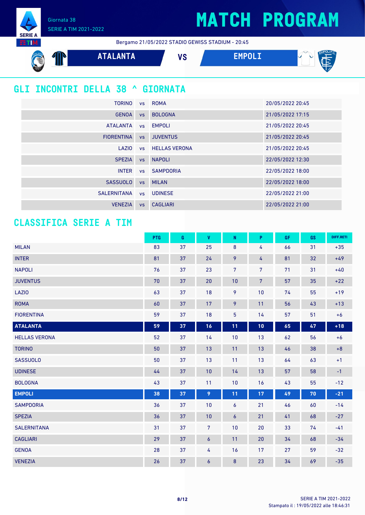Giornata 38 SERIE A TIM 2021-2022

**SERIE A ETIM** 





### **GLI INCONTRI DELLA 38 ^ GIORNATA**

| <b>TORINO</b>     |           | vs ROMA          | 20/05/2022 20:45 |
|-------------------|-----------|------------------|------------------|
| <b>GENOA</b>      | <b>VS</b> | <b>BOLOGNA</b>   | 21/05/2022 17:15 |
| <b>ATALANTA</b>   |           | vs EMPOLI        | 21/05/2022 20:45 |
| <b>FIORENTINA</b> | <b>VS</b> | <b>JUVENTUS</b>  | 21/05/2022 20:45 |
| LAZIO             |           | vs HELLAS VERONA | 21/05/2022 20:45 |
| <b>SPEZIA</b>     | <b>VS</b> | <b>NAPOLI</b>    | 22/05/2022 12:30 |
| <b>INTER</b>      |           | vs SAMPDORIA     | 22/05/2022 18:00 |
| <b>SASSUOLO</b>   | VS        | <b>MILAN</b>     | 22/05/2022 18:00 |
| SALERNITANA       |           | vs UDINESE       | 22/05/2022 21:00 |
| <b>VENEZIA</b>    | <b>VS</b> | <b>CAGLIARI</b>  | 22/05/2022 21:00 |

### **CLASSIFICA SERIE A TIM**

|                      | PTG | G  | V           | $\mathsf{N}$   | P              | GF | GS | DIFF.RETI |
|----------------------|-----|----|-------------|----------------|----------------|----|----|-----------|
| <b>MILAN</b>         | 83  | 37 | 25          | $\bf 8$        | 4              | 66 | 31 | $+35$     |
| <b>INTER</b>         | 81  | 37 | 24          | 9              | 4              | 81 | 32 | $+49$     |
| <b>NAPOLI</b>        | 76  | 37 | 23          | 7              | 7              | 71 | 31 | $+40$     |
| <b>JUVENTUS</b>      | 70  | 37 | 20          | 10             | $\overline{7}$ | 57 | 35 | $+22$     |
| LAZI0                | 63  | 37 | 18          | 9              | 10             | 74 | 55 | $+19$     |
| <b>ROMA</b>          | 60  | 37 | 17          | 9              | 11             | 56 | 43 | $+13$     |
| <b>FIORENTINA</b>    | 59  | 37 | 18          | $\overline{5}$ | 14             | 57 | 51 | $+6$      |
| <b>ATALANTA</b>      | 59  | 37 | 16          | 11             | 10             | 65 | 47 | $+18$     |
| <b>HELLAS VERONA</b> | 52  | 37 | 14          | 10             | 13             | 62 | 56 | $+6$      |
| <b>TORINO</b>        | 50  | 37 | 13          | 11             | 13             | 46 | 38 | $+8$      |
| <b>SASSUOLO</b>      | 50  | 37 | 13          | 11             | 13             | 64 | 63 | $+1$      |
| <b>UDINESE</b>       | 44  | 37 | 10          | 14             | 13             | 57 | 58 | $-1$      |
| <b>BOLOGNA</b>       | 43  | 37 | 11          | 10             | 16             | 43 | 55 | $-12$     |
| <b>EMPOLI</b>        | 38  | 37 | 9           | 11             | 17             | 49 | 70 | $-21$     |
| <b>SAMPDORIA</b>     | 36  | 37 | 10          | 6              | 21             | 46 | 60 | $-14$     |
| <b>SPEZIA</b>        | 36  | 37 | 10          | 6              | 21             | 41 | 68 | $-27$     |
| <b>SALERNITANA</b>   | 31  | 37 | $7^{\circ}$ | 10             | 20             | 33 | 74 | $-41$     |
| <b>CAGLIARI</b>      | 29  | 37 | 6           | 11             | 20             | 34 | 68 | $-34$     |
| <b>GENOA</b>         | 28  | 37 | 4           | 16             | 17             | 27 | 59 | $-32$     |
| <b>VENEZIA</b>       | 26  | 37 | 6           | 8              | 23             | 34 | 69 | $-35$     |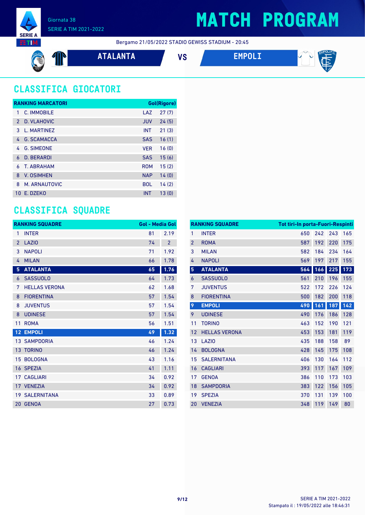

Bergamo 21/05/2022 STADIO GEWISS STADIUM - 20:45



**ATALANTA VS EMPOLI**



### **CLASSIFICA GIOCATORI**

|               | <b>RANKING MARCATORI</b> |            | Gol(Rigore) |
|---------------|--------------------------|------------|-------------|
| 1             | C. IMMOBILE              | LAZ        | 27(7)       |
| $\mathcal{P}$ | D. VLAHOVIC              | <b>JUV</b> | 24(5)       |
| 3             | L. MARTINEZ              | <b>INT</b> | 21(3)       |
| 4             | <b>G. SCAMACCA</b>       | <b>SAS</b> | 16(1)       |
| 4             | <b>G. SIMEONE</b>        | <b>VER</b> | 16(0)       |
| 6             | D. BERARDI               | <b>SAS</b> | 15(6)       |
| 6             | T. ABRAHAM               | <b>ROM</b> | 15(2)       |
| 8             | <b>V. OSIMHEN</b>        | <b>NAP</b> | 14(0)       |
| 8             | M. ARNAUTOVIC            | <b>BOL</b> | 14(2)       |
| 10            | F. DZFKO                 | <b>INT</b> | 13(0)       |

### **CLASSIFICA SQUADRE**

|                | <b>RANKING SQUADRE</b> | <b>Gol - Media Gol</b> |                |
|----------------|------------------------|------------------------|----------------|
| 1              | <b>INTER</b>           | 81                     | 2.19           |
| $\overline{2}$ | <b>LAZIO</b>           | 74                     | $\overline{2}$ |
| 3              | <b>NAPOLI</b>          | 71                     | 1.92           |
| 4              | <b>MILAN</b>           | 66                     | 1.78           |
| 5              | <b>ATALANTA</b>        | 65                     | 1.76           |
| 6              | <b>SASSUOLO</b>        | 64                     | 1.73           |
| 7              | <b>HELLAS VERONA</b>   | 62                     | 1.68           |
| 8              | <b>FIORENTINA</b>      | 57                     | 1.54           |
| 8              | <b>JUVENTUS</b>        | 57                     | 1.54           |
| 8              | <b>UDINESE</b>         | 57                     | 1.54           |
| 11             | <b>ROMA</b>            | 56                     | 1.51           |
| 12             | <b>EMPOLI</b>          | 49                     | 1.32           |
|                | <b>13 SAMPDORIA</b>    | 46                     | 1.24           |
|                | 13 TORINO              | 46                     | 1.24           |
| 15             | <b>BOLOGNA</b>         | 43                     | 1.16           |
|                | 16 SPEZIA              | 41                     | 1.11           |
|                | <b>17 CAGLIARI</b>     | 34                     | 0.92           |
|                | 17 VENEZIA             | 34                     | 0.92           |
|                | <b>19 SALERNITANA</b>  | 33                     | 0.89           |
| 20             | <b>GENOA</b>           | 27                     | 0.73           |

|                | <b>RANKING SQUADRE</b> | <b>Tot tiri-In porta-Fuori-Respinti</b> |     |     |     |
|----------------|------------------------|-----------------------------------------|-----|-----|-----|
| 1              | <b>INTER</b>           | 650                                     | 242 | 243 | 165 |
| $\overline{2}$ | <b>ROMA</b>            | 587                                     | 192 | 220 | 175 |
| 3              | <b>MILAN</b>           | 582                                     | 184 | 234 | 164 |
| 4              | <b>NAPOLI</b>          | 569                                     | 197 | 217 | 155 |
| 5              | <b>ATALANTA</b>        | 564                                     | 166 | 225 | 173 |
| 6              | <b>SASSUOLO</b>        | 561                                     | 210 | 196 | 155 |
| 7              | <b>JUVENTUS</b>        | 522                                     | 172 | 226 | 124 |
| 8              | <b>FIORENTINA</b>      | 500                                     | 182 | 200 | 118 |
| 9              | <b>EMPOLI</b>          | 490                                     | 161 | 187 | 142 |
| 9              | <b>UDINESE</b>         | 490                                     | 176 | 186 | 128 |
| 11             | <b>TORINO</b>          | 463                                     | 152 | 190 | 121 |
| 12             | <b>HELLAS VERONA</b>   | 453                                     | 153 | 181 | 119 |
| 13             | LAZI <sub>0</sub>      | 435                                     | 188 | 158 | 89  |
| 14             | <b>BOLOGNA</b>         | 428                                     | 145 | 175 | 108 |
| 15             | <b>SALERNITANA</b>     | 406                                     | 130 | 164 | 112 |
| 16             | <b>CAGLIARI</b>        | 393                                     | 117 | 167 | 109 |
| 17             | <b>GENOA</b>           | 386                                     | 110 | 173 | 103 |
| 18             | <b>SAMPDORIA</b>       | 383                                     | 122 | 156 | 105 |
| 19             | <b>SPEZIA</b>          | 370                                     | 131 | 139 | 100 |
| 20             | <b>VENEZIA</b>         | 348                                     | 119 | 149 | 80  |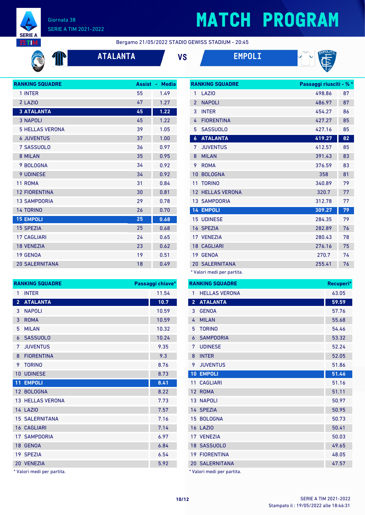

## **MATCH PROGRAM**

Bergamo 21/05/2022 STADIO GEWISS STADIUM - 20:45







| <b>RANKING SQUADRE</b> |    | <b>Assist - Media</b> |
|------------------------|----|-----------------------|
| 1 INTER                | 55 | 1.49                  |
| 2 LAZIO                | 47 | 1.27                  |
| <b>3 ATALANTA</b>      | 45 | 1.22                  |
| <b>3 NAPOLI</b>        | 45 | 1.22                  |
| <b>5 HELLAS VERONA</b> | 39 | 1.05                  |
| <b>6 JUVENTUS</b>      | 37 | 1.00                  |
| 7 SASSUOLO             | 36 | 0.97                  |
| 8 MILAN                | 35 | 0.95                  |
| 9 BOLOGNA              | 34 | 0.92                  |
| <b>9 UDINESE</b>       | 34 | 0.92                  |
| 11 ROMA                | 31 | 0.84                  |
| <b>12 FIORENTINA</b>   | 30 | 0.81                  |
| <b>13 SAMPDORIA</b>    | 29 | 0.78                  |
| <b>14 TORINO</b>       | 26 | 0.70                  |
| <b>15 EMPOLI</b>       | 25 | 0.68                  |
| <b>15 SPEZIA</b>       | 25 | 0.68                  |
| <b>17 CAGLIARI</b>     | 24 | 0.65                  |
| <b>18 VENEZIA</b>      | 23 | 0.62                  |
| <b>19 GENOA</b>        | 19 | 0.51                  |
| <b>20 SALERNITANA</b>  | 18 | 0.49                  |

| <b>RANKING SQUADRE</b> |                         | Passaggi chiave* |
|------------------------|-------------------------|------------------|
| 1                      | <b>INTER</b>            | 11.54            |
| $\overline{2}$         | <b>ATALANTA</b>         | 10.7             |
| 3                      | <b>NAPOLI</b>           | 10.59            |
| 3                      | <b>ROMA</b>             | 10.59            |
| 5                      | <b>MILAN</b>            | 10.32            |
| $\overline{6}$         | <b>SASSUOLO</b>         | 10.24            |
| 7                      | <b>JUVENTUS</b>         | 9.35             |
| 8                      | <b>FIORENTINA</b>       | 9.3              |
| 9                      | <b>TORINO</b>           | 8.76             |
| 10                     | <b>UDINESE</b>          | 8.73             |
| 11                     | <b>EMPOLI</b>           | 8.41             |
|                        | 12 BOLOGNA              | 8.22             |
|                        | <b>13 HELLAS VERONA</b> | 7.73             |
|                        | <b>14 LAZIO</b>         | 7.57             |
|                        | <b>15 SALERNITANA</b>   | 7.16             |
|                        | <b>16 CAGLIARI</b>      | 7.14             |
|                        | <b>17 SAMPDORIA</b>     | 6.97             |
|                        | 18 GENOA                | 6.84             |
|                        | 19 SPEZIA               | 6.54             |
|                        | 20 VENEZIA              | 5.92             |

Valori medi per partita.

|                  | <b>RANKING SQUADRE</b>     | Passaggi riusciti - % * |    |
|------------------|----------------------------|-------------------------|----|
| 1                | LAZI <sub>0</sub>          | 498.86                  | 87 |
| $\mathfrak{p}$   | <b>NAPOLI</b>              | 486.97                  | 87 |
| 3                | <b>INTER</b>               | 454.27                  | 86 |
| 4                | <b>FIORENTINA</b>          | 427.27                  | 85 |
| 5                | <b>SASSUOLO</b>            | 427.16                  | 85 |
| $\boldsymbol{6}$ | <b>ATALANTA</b>            | 419.27                  | 82 |
| 7                | <b>JUVENTUS</b>            | 412.57                  | 85 |
| 8                | <b>MILAN</b>               | 391.43                  | 83 |
| 9                | <b>ROMA</b>                | 376.59                  | 83 |
| 10               | <b>BOLOGNA</b>             | 358                     | 81 |
| 11               | <b>TORINO</b>              | 340.89                  | 79 |
| 12               | <b>HELLAS VERONA</b>       | 320.7                   | 77 |
|                  | <b>13 SAMPDORIA</b>        | 312.78                  | 77 |
|                  | <b>14 EMPOLI</b>           | 309.27                  | 79 |
|                  | <b>15 UDINESE</b>          | 284.35                  | 79 |
|                  | 16 SPEZIA                  | 282.89                  | 76 |
|                  | 17 VENEZIA                 | 280.43                  | 78 |
|                  | <b>18 CAGLIARI</b>         | 276.16                  | 75 |
|                  | 19 GENOA                   | 270.7                   | 74 |
|                  | <b>20 SALERNITANA</b>      | 255.41                  | 76 |
|                  | * Valori medi per partita. |                         |    |

**RANKING SQUADRE Recuperi\*** HELLAS VERONA 63.05 **ATALANTA 59.59** GENOA 57.76 MILAN 55.68 TORINO 54.46 SAMPDORIA 53.32 UDINESE 52.24

| 8 | <b>INTER</b>          | 52.05 |
|---|-----------------------|-------|
| 9 | <b>JUVENTUS</b>       | 51.86 |
|   | <b>10 EMPOLI</b>      | 51.46 |
|   | 11 CAGLIARI           | 51.16 |
|   | 12 ROMA               | 51.11 |
|   | 13 NAPOLI             | 50.97 |
|   | 14 SPEZIA             | 50.95 |
|   | 15 BOLOGNA            | 50.73 |
|   | <b>16 LAZIO</b>       | 50.41 |
|   | 17 VENEZIA            | 50.03 |
|   | 18 SASSUOLO           | 49.65 |
|   | <b>19 FIORENTINA</b>  | 48.05 |
|   | <b>20 SALERNITANA</b> | 47.57 |
|   |                       |       |

\* Valori medi per partita.

Γ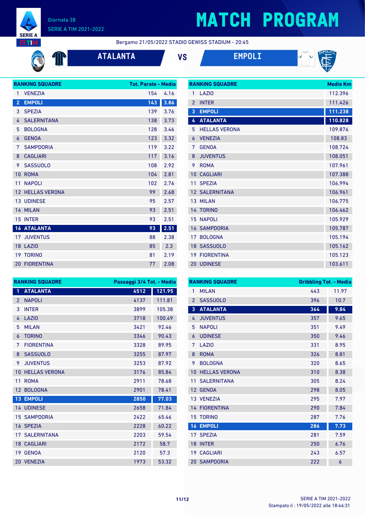

 $\mathbb{P}$ 

# **MATCH PROGRAM**

Bergamo 21/05/2022 STADIO GEWISS STADIUM - 20:45



**ATALANTA VS EMPOLI**



|                | <b>RANKING SQUADRE</b> | <b>Tot. Parate - Media</b> |      |
|----------------|------------------------|----------------------------|------|
| 1              | <b>VENEZIA</b>         | 154                        | 4.16 |
| $\overline{2}$ | <b>EMPOLI</b>          | 143                        | 3.86 |
| 3              | <b>SPEZIA</b>          | 139                        | 3.76 |
| 4              | <b>SALERNITANA</b>     | 138                        | 3.73 |
| 5              | <b>BOLOGNA</b>         | 128                        | 3.46 |
| 6              | <b>GENOA</b>           | 123                        | 3.32 |
| 7              | <b>SAMPDORIA</b>       | 119                        | 3.22 |
| 8              | <b>CAGLIARI</b>        | 117                        | 3.16 |
| 9              | <b>SASSUOLO</b>        | 108                        | 2.92 |
| 10             | <b>ROMA</b>            | 104                        | 2.81 |
| 11             | <b>NAPOLI</b>          | 102                        | 2.76 |
| 12             | <b>HELLAS VERONA</b>   | 99                         | 2.68 |
|                | <b>13 UDINESE</b>      | 95                         | 2.57 |
|                | 14 MILAN               | 93                         | 2.51 |
|                | 15 INTER               | 93                         | 2.51 |
|                | <b>16 ATALANTA</b>     | 93                         | 2.51 |
|                | <b>17 JUVENTUS</b>     | 88                         | 2.38 |
|                | 18 LAZIO               | 85                         | 2.3  |
|                | <b>19 TORINO</b>       | 81                         | 2.19 |
|                | <b>20 FIORENTINA</b>   | 77                         | 2.08 |

|                | <b>RANKING SQUADRE</b> | <b>Media Km</b> |
|----------------|------------------------|-----------------|
| 1              | LAZI <sub>0</sub>      | 112.396         |
| $\overline{2}$ | <b>INTER</b>           | 111.426         |
| $\overline{3}$ | <b>EMPOLI</b>          | 111.238         |
| 4              | <b>ATALANTA</b>        | 110.828         |
| 5              | <b>HELLAS VERONA</b>   | 109.876         |
| 6              | <b>VENEZIA</b>         | 108.83          |
| 7              | <b>GENOA</b>           | 108.724         |
| 8              | <b>JUVENTUS</b>        | 108.051         |
| 9              | <b>ROMA</b>            | 107.961         |
| 10             | <b>CAGLIARI</b>        | 107.388         |
| 11             | <b>SPEZIA</b>          | 106.994         |
|                | 12 SALERNITANA         | 106.961         |
|                | 13 MILAN               | 106.775         |
|                | 14 TORINO              | 106.462         |
| 15             | NAPOLI                 | 105.929         |
| 16             | <b>SAMPDORIA</b>       | 105.787         |
| 17             | <b>BOLOGNA</b>         | 105.194         |
|                | 18 SASSUOLO            | 105.162         |
| 19             | <b>FIORENTINA</b>      | 105.123         |
|                | <b>20 UDINESE</b>      | 103.611         |

| <b>RANKING SQUADRE</b><br>Passaggi 3/4 Tot. - Media |                      |      |        |
|-----------------------------------------------------|----------------------|------|--------|
| 1                                                   | <b>ATALANTA</b>      | 4512 | 121.95 |
| $\overline{2}$                                      | <b>NAPOLI</b>        | 4137 | 111.81 |
| 3                                                   | <b>INTER</b>         | 3899 | 105.38 |
| 4                                                   | LAZIO                | 3718 | 100.49 |
| 5                                                   | <b>MILAN</b>         | 3421 | 92.46  |
| 6                                                   | <b>TORINO</b>        | 3346 | 90.43  |
| 7                                                   | <b>FIORENTINA</b>    | 3328 | 89.95  |
| 8                                                   | <b>SASSUOLO</b>      | 3255 | 87.97  |
| 9                                                   | <b>JUVENTUS</b>      | 3253 | 87.92  |
| 10                                                  | <b>HELLAS VERONA</b> | 3176 | 85.84  |
| 11                                                  | <b>ROMA</b>          | 2911 | 78.68  |
| 12                                                  | <b>BOLOGNA</b>       | 2901 | 78.41  |
| 13                                                  | <b>EMPOLI</b>        | 2850 | 77.03  |
|                                                     | <b>14 UDINESE</b>    | 2658 | 71.84  |
| 15                                                  | <b>SAMPDORIA</b>     | 2422 | 65.46  |
|                                                     | 16 SPEZIA            | 2228 | 60.22  |
| 17                                                  | <b>SALERNITANA</b>   | 2203 | 59.54  |
| 18                                                  | <b>CAGLIARI</b>      | 2172 | 58.7   |
| 19                                                  | <b>GENOA</b>         | 2120 | 57.3   |
| 20                                                  | <b>VENEZIA</b>       | 1973 | 53.32  |

|                | <b>RANKING SQUADRE</b> | <b>Dribbling Tot. - Media</b> |       |
|----------------|------------------------|-------------------------------|-------|
| 1              | <b>MILAN</b>           | 443                           | 11.97 |
| $\overline{2}$ | <b>SASSUOLO</b>        | 396                           | 10.7  |
| $\overline{3}$ | <b>ATALANTA</b>        | 364                           | 9.84  |
| 4              | <b>JUVENTUS</b>        | 357                           | 9.65  |
| 5              | <b>NAPOLI</b>          | 351                           | 9.49  |
| 6              | <b>UDINESE</b>         | 350                           | 9.46  |
| 7              | LAZI <sub>0</sub>      | 331                           | 8.95  |
| 8              | <b>ROMA</b>            | 326                           | 8.81  |
| 9              | <b>BOLOGNA</b>         | 320                           | 8.65  |
| 10             | <b>HELLAS VERONA</b>   | 310                           | 8.38  |
| 11             | <b>SALERNITANA</b>     | 305                           | 8.24  |
| 12             | <b>GENOA</b>           | 298                           | 8.05  |
|                | 13 VENEZIA             | 295                           | 7.97  |
|                | <b>14 FIORENTINA</b>   | 290                           | 7.84  |
| 15             | <b>TORINO</b>          | 287                           | 7.76  |
| 16             | <b>EMPOLI</b>          | 286                           | 7.73  |
|                | 17 SPEZIA              | 281                           | 7.59  |
| 18             | <b>INTER</b>           | 250                           | 6.76  |
| 19             | <b>CAGLIARI</b>        | 243                           | 6.57  |
|                | <b>20 SAMPDORIA</b>    | 222                           | 6     |